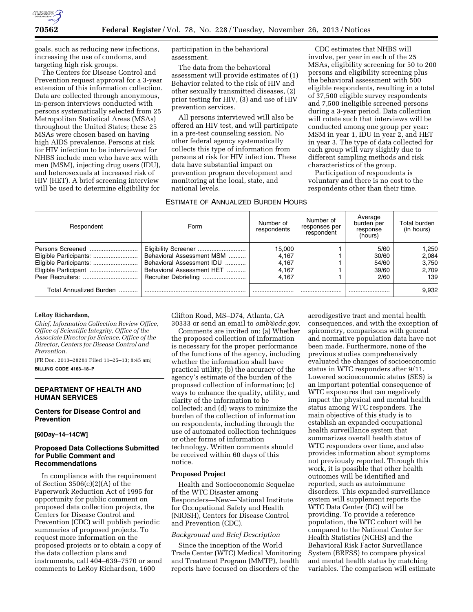

goals, such as reducing new infections, increasing the use of condoms, and targeting high risk groups.

The Centers for Disease Control and Prevention request approval for a 3-year extension of this information collection. Data are collected through anonymous, in-person interviews conducted with persons systematically selected from 25 Metropolitan Statistical Areas (MSAs) throughout the United States; these 25 MSAs were chosen based on having high AIDS prevalence. Persons at risk for HIV infection to be interviewed for NHBS include men who have sex with men (MSM), injecting drug users (IDU), and heterosexuals at increased risk of HIV (HET). A brief screening interview will be used to determine eligibility for

participation in the behavioral assessment.

The data from the behavioral assessment will provide estimates of (1) Behavior related to the risk of HIV and other sexually transmitted diseases, (2) prior testing for HIV, (3) and use of HIV prevention services.

All persons interviewed will also be offered an HIV test, and will participate in a pre-test counseling session. No other federal agency systematically collects this type of information from persons at risk for HIV infection. These data have substantial impact on prevention program development and monitoring at the local, state, and national levels.

ESTIMATE OF ANNUALIZED BURDEN HOURS

CDC estimates that NHBS will involve, per year in each of the 25 MSAs, eligibility screening for 50 to 200 persons and eligibility screening plus the behavioral assessment with 500 eligible respondents, resulting in a total of 37,500 eligible survey respondents and 7,500 ineligible screened persons during a 3-year period. Data collection will rotate such that interviews will be conducted among one group per year: MSM in year 1, IDU in year 2, and HET in year 3. The type of data collected for each group will vary slightly due to different sampling methods and risk characteristics of the group.

Participation of respondents is voluntary and there is no cost to the respondents other than their time.

| Respondent              | Form                                                                                                        | Number of<br>respondents                   | Number of<br>responses per<br>respondent | Average<br>burden per<br>response<br>(hours) | Total burden<br>(in hours)              |
|-------------------------|-------------------------------------------------------------------------------------------------------------|--------------------------------------------|------------------------------------------|----------------------------------------------|-----------------------------------------|
|                         | Behavioral Assessment MSM<br>Behavioral Assessment IDU<br>Behavioral Assessment HET<br>Recruiter Debriefing | 15,000<br>4.167<br>4.167<br>4,167<br>4.167 |                                          | 5/60<br>30/60<br>54/60<br>39/60<br>2/60      | 1.250<br>2.084<br>3.750<br>2,709<br>139 |
| Total Annualized Burden |                                                                                                             |                                            |                                          |                                              | 9,932                                   |

#### **LeRoy Richardson,**

*Chief, Information Collection Review Office, Office of Scientific Integrity, Office of the Associate Director for Science, Office of the Director, Centers for Disease Control and Prevention.* 

[FR Doc. 2013–28281 Filed 11–25–13; 8:45 am] **BILLING CODE 4163–18–P** 

# **DEPARTMENT OF HEALTH AND HUMAN SERVICES**

## **Centers for Disease Control and Prevention**

**[60Day–14–14CW]** 

### **Proposed Data Collections Submitted for Public Comment and Recommendations**

In compliance with the requirement of Section  $3506(c)(2)(A)$  of the Paperwork Reduction Act of 1995 for opportunity for public comment on proposed data collection projects, the Centers for Disease Control and Prevention (CDC) will publish periodic summaries of proposed projects. To request more information on the proposed projects or to obtain a copy of the data collection plans and instruments, call 404–639–7570 or send comments to LeRoy Richardson, 1600

Clifton Road, MS–D74, Atlanta, GA 30333 or send an email to *[omb@cdc.gov.](mailto:omb@cdc.gov)* 

Comments are invited on: (a) Whether the proposed collection of information is necessary for the proper performance of the functions of the agency, including whether the information shall have practical utility; (b) the accuracy of the agency's estimate of the burden of the proposed collection of information; (c) ways to enhance the quality, utility, and clarity of the information to be collected; and (d) ways to minimize the burden of the collection of information on respondents, including through the use of automated collection techniques or other forms of information technology. Written comments should be received within 60 days of this notice.

#### **Proposed Project**

Health and Socioeconomic Sequelae of the WTC Disaster among Responders—New—National Institute for Occupational Safety and Health (NIOSH), Centers for Disease Control and Prevention (CDC).

# *Background and Brief Description*

Since the inception of the World Trade Center (WTC) Medical Monitoring and Treatment Program (MMTP), health reports have focused on disorders of the

aerodigestive tract and mental health consequences, and with the exception of spirometry, comparisons with general and normative population data have not been made. Furthermore, none of the previous studies comprehensively evaluated the changes of socioeconomic status in WTC responders after 9/11. Lowered socioeconomic status (SES) is an important potential consequence of WTC exposures that can negatively impact the physical and mental health status among WTC responders. The main objective of this study is to establish an expanded occupational health surveillance system that summarizes overall health status of WTC responders over time, and also provides information about symptoms not previously reported. Through this work, it is possible that other health outcomes will be identified and reported, such as autoimmune disorders. This expanded surveillance system will supplement reports the WTC Data Center (DC) will be providing. To provide a reference population, the WTC cohort will be compared to the National Center for Health Statistics (NCHS) and the Behavioral Risk Factor Surveillance System (BRFSS) to compare physical and mental health status by matching variables. The comparison will estimate